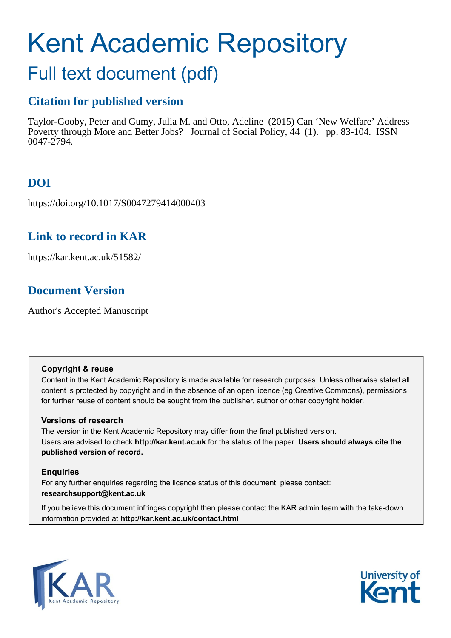# Kent Academic Repository

## Full text document (pdf)

## **Citation for published version**

Taylor-Gooby, Peter and Gumy, Julia M. and Otto, Adeline (2015) Can 'New Welfare' Address Poverty through More and Better Jobs? Journal of Social Policy, 44 (1). pp. 83-104. ISSN 0047-2794.

## **DOI**

https://doi.org/10.1017/S0047279414000403

### **Link to record in KAR**

https://kar.kent.ac.uk/51582/

## **Document Version**

Author's Accepted Manuscript

#### **Copyright & reuse**

Content in the Kent Academic Repository is made available for research purposes. Unless otherwise stated all content is protected by copyright and in the absence of an open licence (eg Creative Commons), permissions for further reuse of content should be sought from the publisher, author or other copyright holder.

#### **Versions of research**

The version in the Kent Academic Repository may differ from the final published version. Users are advised to check **http://kar.kent.ac.uk** for the status of the paper. **Users should always cite the published version of record.**

#### **Enquiries**

For any further enquiries regarding the licence status of this document, please contact: **researchsupport@kent.ac.uk**

If you believe this document infringes copyright then please contact the KAR admin team with the take-down information provided at **http://kar.kent.ac.uk/contact.html**



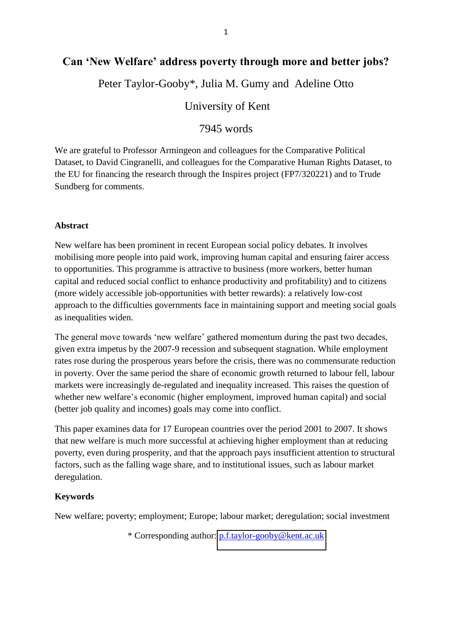#### **Can 'New Welfare' address poverty through more and better jobs?**

Peter Taylor-Gooby\*, Julia M. Gumy and Adeline Otto

#### University of Kent

#### 7945 words

We are grateful to Professor Armingeon and colleagues for the Comparative Political Dataset, to David Cingranelli, and colleagues for the Comparative Human Rights Dataset, to the EU for financing the research through the Inspires project (FP7/320221) and to Trude Sundberg for comments.

#### **Abstract**

New welfare has been prominent in recent European social policy debates. It involves mobilising more people into paid work, improving human capital and ensuring fairer access to opportunities. This programme is attractive to business (more workers, better human capital and reduced social conflict to enhance productivity and profitability) and to citizens (more widely accessible job-opportunities with better rewards): a relatively low-cost approach to the difficulties governments face in maintaining support and meeting social goals as inequalities widen.

The general move towards 'new welfare' gathered momentum during the past two decades, given extra impetus by the 2007-9 recession and subsequent stagnation. While employment rates rose during the prosperous years before the crisis, there was no commensurate reduction in poverty. Over the same period the share of economic growth returned to labour fell, labour markets were increasingly de-regulated and inequality increased. This raises the question of whether new welfare's economic (higher employment, improved human capital) and social (better job quality and incomes) goals may come into conflict.

This paper examines data for 17 European countries over the period 2001 to 2007. It shows that new welfare is much more successful at achieving higher employment than at reducing poverty, even during prosperity, and that the approach pays insufficient attention to structural factors, such as the falling wage share, and to institutional issues, such as labour market deregulation.

#### **Keywords**

New welfare; poverty; employment; Europe; labour market; deregulation; social investment

\* Corresponding author: [p.f.taylor-gooby@kent.ac.uk](mailto:p.f.taylor-gooby@kent.ac.uk)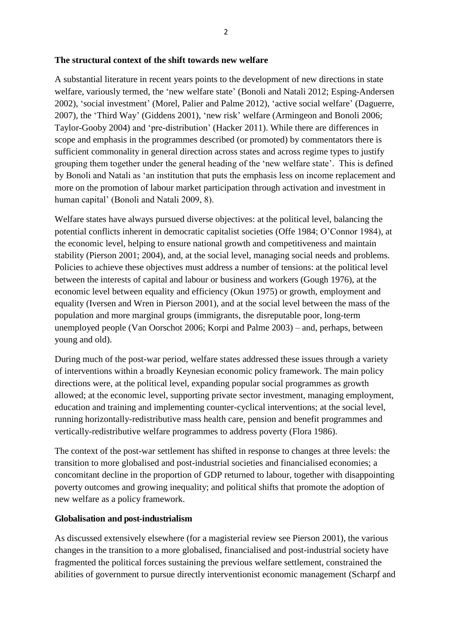#### **The structural context of the shift towards new welfare**

A substantial literature in recent years points to the development of new directions in state welfare, variously termed, the 'new welfare state' (Bonoli and Natali 2012; Esping-Andersen 2002), 'social investment' (Morel, Palier and Palme 2012), 'active social welfare' (Daguerre, 2007), the 'Third Way' (Giddens 2001), 'new risk' welfare (Armingeon and Bonoli 2006; Taylor-Gooby 2004) and 'pre-distribution' (Hacker 2011). While there are differences in scope and emphasis in the programmes described (or promoted) by commentators there is sufficient commonality in general direction across states and across regime types to justify grouping them together under the general heading of the 'new welfare state'. This is defined by Bonoli and Natali as 'an institution that puts the emphasis less on income replacement and more on the promotion of labour market participation through activation and investment in human capital' (Bonoli and Natali 2009, 8).

Welfare states have always pursued diverse objectives: at the political level, balancing the potential conflicts inherent in democratic capitalist societies (Offe 1984; O'Connor 1984), at the economic level, helping to ensure national growth and competitiveness and maintain stability (Pierson 2001; 2004), and, at the social level, managing social needs and problems. Policies to achieve these objectives must address a number of tensions: at the political level between the interests of capital and labour or business and workers (Gough 1976), at the economic level between equality and efficiency (Okun 1975) or growth, employment and equality (Iversen and Wren in Pierson 2001), and at the social level between the mass of the population and more marginal groups (immigrants, the disreputable poor, long-term unemployed people (Van Oorschot 2006; Korpi and Palme 2003) – and, perhaps, between young and old).

During much of the post-war period, welfare states addressed these issues through a variety of interventions within a broadly Keynesian economic policy framework. The main policy directions were, at the political level, expanding popular social programmes as growth allowed; at the economic level, supporting private sector investment, managing employment, education and training and implementing counter-cyclical interventions; at the social level, running horizontally-redistributive mass health care, pension and benefit programmes and vertically-redistributive welfare programmes to address poverty (Flora 1986).

The context of the post-war settlement has shifted in response to changes at three levels: the transition to more globalised and post-industrial societies and financialised economies; a concomitant decline in the proportion of GDP returned to labour, together with disappointing poverty outcomes and growing inequality; and political shifts that promote the adoption of new welfare as a policy framework.

#### **Globalisation and post-industrialism**

As discussed extensively elsewhere (for a magisterial review see Pierson 2001), the various changes in the transition to a more globalised, financialised and post-industrial society have fragmented the political forces sustaining the previous welfare settlement, constrained the abilities of government to pursue directly interventionist economic management (Scharpf and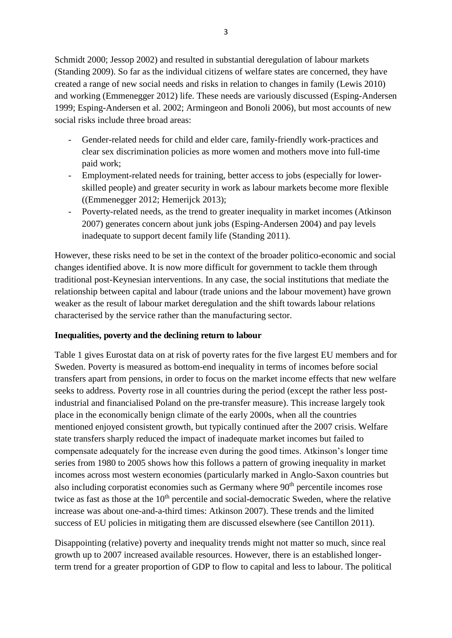Schmidt 2000; Jessop 2002) and resulted in substantial deregulation of labour markets (Standing 2009). So far as the individual citizens of welfare states are concerned, they have created a range of new social needs and risks in relation to changes in family (Lewis 2010) and working (Emmenegger 2012) life. These needs are variously discussed (Esping-Andersen 1999; Esping-Andersen et al. 2002; Armingeon and Bonoli 2006), but most accounts of new social risks include three broad areas:

- Gender-related needs for child and elder care, family-friendly work-practices and clear sex discrimination policies as more women and mothers move into full-time paid work;
- Employment-related needs for training, better access to jobs (especially for lowerskilled people) and greater security in work as labour markets become more flexible ((Emmenegger 2012; Hemerijck 2013);
- Poverty-related needs, as the trend to greater inequality in market incomes (Atkinson 2007) generates concern about junk jobs (Esping-Andersen 2004) and pay levels inadequate to support decent family life (Standing 2011).

However, these risks need to be set in the context of the broader politico-economic and social changes identified above. It is now more difficult for government to tackle them through traditional post-Keynesian interventions. In any case, the social institutions that mediate the relationship between capital and labour (trade unions and the labour movement) have grown weaker as the result of labour market deregulation and the shift towards labour relations characterised by the service rather than the manufacturing sector.

#### **Inequalities, poverty and the declining return to labour**

Table 1 gives Eurostat data on at risk of poverty rates for the five largest EU members and for Sweden. Poverty is measured as bottom-end inequality in terms of incomes before social transfers apart from pensions, in order to focus on the market income effects that new welfare seeks to address. Poverty rose in all countries during the period (except the rather less postindustrial and financialised Poland on the pre-transfer measure). This increase largely took place in the economically benign climate of the early 2000s, when all the countries mentioned enjoyed consistent growth, but typically continued after the 2007 crisis. Welfare state transfers sharply reduced the impact of inadequate market incomes but failed to compensate adequately for the increase even during the good times. Atkinson's longer time series from 1980 to 2005 shows how this follows a pattern of growing inequality in market incomes across most western economies (particularly marked in Anglo-Saxon countries but also including corporatist economies such as Germany where 90<sup>th</sup> percentile incomes rose twice as fast as those at the  $10<sup>th</sup>$  percentile and social-democratic Sweden, where the relative increase was about one-and-a-third times: Atkinson 2007). These trends and the limited success of EU policies in mitigating them are discussed elsewhere (see Cantillon 2011).

Disappointing (relative) poverty and inequality trends might not matter so much, since real growth up to 2007 increased available resources. However, there is an established longerterm trend for a greater proportion of GDP to flow to capital and less to labour. The political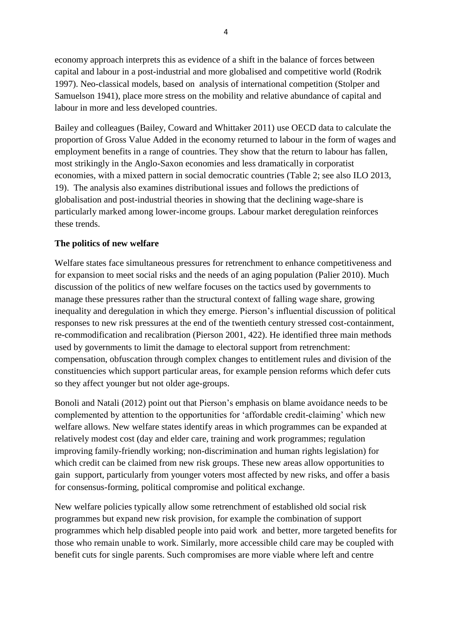economy approach interprets this as evidence of a shift in the balance of forces between capital and labour in a post-industrial and more globalised and competitive world (Rodrik 1997). Neo-classical models, based on analysis of international competition (Stolper and Samuelson 1941), place more stress on the mobility and relative abundance of capital and labour in more and less developed countries.

Bailey and colleagues (Bailey, Coward and Whittaker 2011) use OECD data to calculate the proportion of Gross Value Added in the economy returned to labour in the form of wages and employment benefits in a range of countries. They show that the return to labour has fallen, most strikingly in the Anglo-Saxon economies and less dramatically in corporatist economies, with a mixed pattern in social democratic countries (Table 2; see also ILO 2013, 19). The analysis also examines distributional issues and follows the predictions of globalisation and post-industrial theories in showing that the declining wage-share is particularly marked among lower-income groups. Labour market deregulation reinforces these trends.

#### **The politics of new welfare**

Welfare states face simultaneous pressures for retrenchment to enhance competitiveness and for expansion to meet social risks and the needs of an aging population (Palier 2010). Much discussion of the politics of new welfare focuses on the tactics used by governments to manage these pressures rather than the structural context of falling wage share, growing inequality and deregulation in which they emerge. Pierson's influential discussion of political responses to new risk pressures at the end of the twentieth century stressed cost-containment, re-commodification and recalibration (Pierson 2001, 422). He identified three main methods used by governments to limit the damage to electoral support from retrenchment: compensation, obfuscation through complex changes to entitlement rules and division of the constituencies which support particular areas, for example pension reforms which defer cuts so they affect younger but not older age-groups.

Bonoli and Natali (2012) point out that Pierson's emphasis on blame avoidance needs to be complemented by attention to the opportunities for 'affordable credit-claiming' which new welfare allows. New welfare states identify areas in which programmes can be expanded at relatively modest cost (day and elder care, training and work programmes; regulation improving family-friendly working; non-discrimination and human rights legislation) for which credit can be claimed from new risk groups. These new areas allow opportunities to gain support, particularly from younger voters most affected by new risks, and offer a basis for consensus-forming, political compromise and political exchange.

New welfare policies typically allow some retrenchment of established old social risk programmes but expand new risk provision, for example the combination of support programmes which help disabled people into paid work and better, more targeted benefits for those who remain unable to work. Similarly, more accessible child care may be coupled with benefit cuts for single parents. Such compromises are more viable where left and centre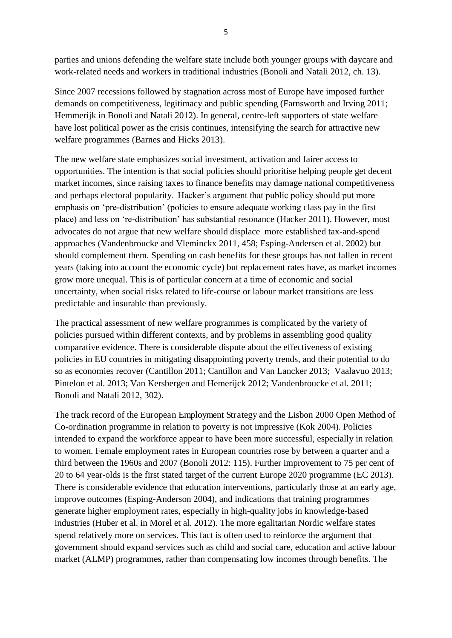parties and unions defending the welfare state include both younger groups with daycare and work-related needs and workers in traditional industries (Bonoli and Natali 2012, ch. 13).

Since 2007 recessions followed by stagnation across most of Europe have imposed further demands on competitiveness, legitimacy and public spending (Farnsworth and Irving 2011; Hemmerijk in Bonoli and Natali 2012). In general, centre-left supporters of state welfare have lost political power as the crisis continues, intensifying the search for attractive new welfare programmes (Barnes and Hicks 2013).

The new welfare state emphasizes social investment, activation and fairer access to opportunities. The intention is that social policies should prioritise helping people get decent market incomes, since raising taxes to finance benefits may damage national competitiveness and perhaps electoral popularity. Hacker's argument that public policy should put more emphasis on 'pre-distribution' (policies to ensure adequate working class pay in the first place) and less on 're-distribution' has substantial resonance (Hacker 2011). However, most advocates do not argue that new welfare should displace more established tax-and-spend approaches (Vandenbroucke and Vleminckx 2011, 458; Esping-Andersen et al. 2002) but should complement them. Spending on cash benefits for these groups has not fallen in recent years (taking into account the economic cycle) but replacement rates have, as market incomes grow more unequal. This is of particular concern at a time of economic and social uncertainty, when social risks related to life-course or labour market transitions are less predictable and insurable than previously.

The practical assessment of new welfare programmes is complicated by the variety of policies pursued within different contexts, and by problems in assembling good quality comparative evidence. There is considerable dispute about the effectiveness of existing policies in EU countries in mitigating disappointing poverty trends, and their potential to do so as economies recover (Cantillon 2011; Cantillon and Van Lancker 2013; Vaalavuo 2013; Pintelon et al. 2013; Van Kersbergen and Hemerijck 2012; Vandenbroucke et al. 2011; Bonoli and Natali 2012, 302).

The track record of the European Employment Strategy and the Lisbon 2000 Open Method of Co-ordination programme in relation to poverty is not impressive (Kok 2004). Policies intended to expand the workforce appear to have been more successful, especially in relation to women. Female employment rates in European countries rose by between a quarter and a third between the 1960s and 2007 (Bonoli 2012: 115). Further improvement to 75 per cent of 20 to 64 year-olds is the first stated target of the current Europe 2020 programme (EC 2013). There is considerable evidence that education interventions, particularly those at an early age, improve outcomes (Esping-Anderson 2004), and indications that training programmes generate higher employment rates, especially in high-quality jobs in knowledge-based industries (Huber et al. in Morel et al. 2012). The more egalitarian Nordic welfare states spend relatively more on services. This fact is often used to reinforce the argument that government should expand services such as child and social care, education and active labour market (ALMP) programmes, rather than compensating low incomes through benefits. The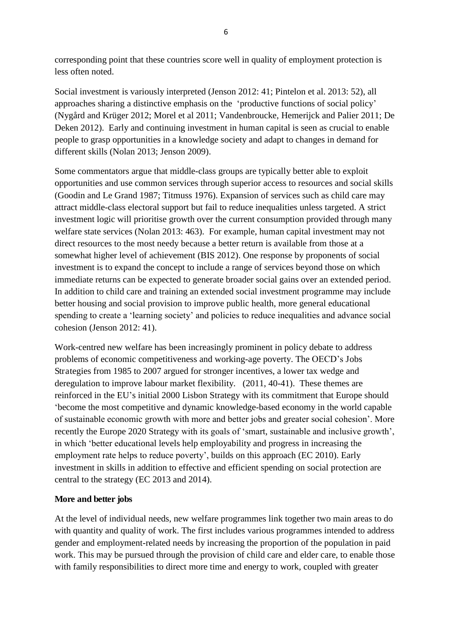corresponding point that these countries score well in quality of employment protection is less often noted.

Social investment is variously interpreted (Jenson 2012: 41; Pintelon et al. 2013: 52), all approaches sharing a distinctive emphasis on the 'productive functions of social policy' (Nygård and Krüger 2012; Morel et al 2011; Vandenbroucke, Hemerijck and Palier 2011; De Deken 2012). Early and continuing investment in human capital is seen as crucial to enable people to grasp opportunities in a knowledge society and adapt to changes in demand for different skills (Nolan 2013; Jenson 2009).

Some commentators argue that middle-class groups are typically better able to exploit opportunities and use common services through superior access to resources and social skills (Goodin and Le Grand 1987; Titmuss 1976). Expansion of services such as child care may attract middle-class electoral support but fail to reduce inequalities unless targeted. A strict investment logic will prioritise growth over the current consumption provided through many welfare state services (Nolan 2013: 463). For example, human capital investment may not direct resources to the most needy because a better return is available from those at a somewhat higher level of achievement (BIS 2012). One response by proponents of social investment is to expand the concept to include a range of services beyond those on which immediate returns can be expected to generate broader social gains over an extended period. In addition to child care and training an extended social investment programme may include better housing and social provision to improve public health, more general educational spending to create a 'learning society' and policies to reduce inequalities and advance social cohesion (Jenson 2012: 41).

Work-centred new welfare has been increasingly prominent in policy debate to address problems of economic competitiveness and working-age poverty. The OECD's Jobs Strategies from 1985 to 2007 argued for stronger incentives, a lower tax wedge and deregulation to improve labour market flexibility. (2011, 40-41). These themes are reinforced in the EU's initial 2000 Lisbon Strategy with its commitment that Europe should 'become the most competitive and dynamic knowledge-based economy in the world capable of sustainable economic growth with more and better jobs and greater social cohesion'. More recently the Europe 2020 Strategy with its goals of 'smart, sustainable and inclusive growth', in which 'better educational levels help employability and progress in increasing the employment rate helps to reduce poverty', builds on this approach (EC 2010). Early investment in skills in addition to effective and efficient spending on social protection are central to the strategy (EC 2013 and 2014).

#### **More and better jobs**

At the level of individual needs, new welfare programmes link together two main areas to do with quantity and quality of work. The first includes various programmes intended to address gender and employment-related needs by increasing the proportion of the population in paid work. This may be pursued through the provision of child care and elder care, to enable those with family responsibilities to direct more time and energy to work, coupled with greater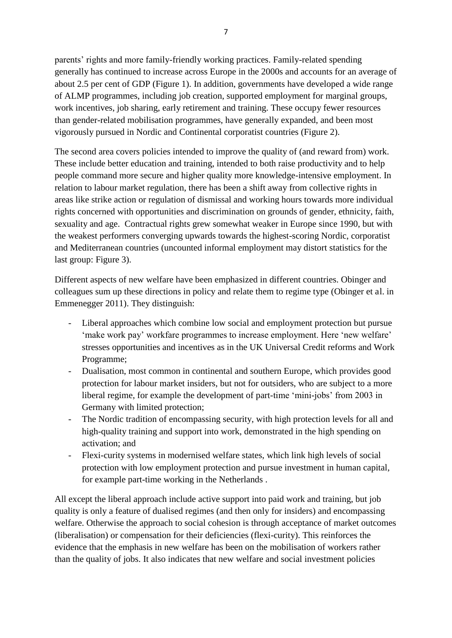parents' rights and more family-friendly working practices. Family-related spending generally has continued to increase across Europe in the 2000s and accounts for an average of about 2.5 per cent of GDP (Figure 1). In addition, governments have developed a wide range of ALMP programmes, including job creation, supported employment for marginal groups, work incentives, job sharing, early retirement and training. These occupy fewer resources than gender-related mobilisation programmes, have generally expanded, and been most vigorously pursued in Nordic and Continental corporatist countries (Figure 2).

The second area covers policies intended to improve the quality of (and reward from) work. These include better education and training, intended to both raise productivity and to help people command more secure and higher quality more knowledge-intensive employment. In relation to labour market regulation, there has been a shift away from collective rights in areas like strike action or regulation of dismissal and working hours towards more individual rights concerned with opportunities and discrimination on grounds of gender, ethnicity, faith, sexuality and age. Contractual rights grew somewhat weaker in Europe since 1990, but with the weakest performers converging upwards towards the highest-scoring Nordic, corporatist and Mediterranean countries (uncounted informal employment may distort statistics for the last group: Figure 3).

Different aspects of new welfare have been emphasized in different countries. Obinger and colleagues sum up these directions in policy and relate them to regime type (Obinger et al. in Emmenegger 2011). They distinguish:

- Liberal approaches which combine low social and employment protection but pursue 'make work pay' workfare programmes to increase employment. Here 'new welfare' stresses opportunities and incentives as in the UK Universal Credit reforms and Work Programme;
- Dualisation, most common in continental and southern Europe, which provides good protection for labour market insiders, but not for outsiders, who are subject to a more liberal regime, for example the development of part-time 'mini-jobs' from 2003 in Germany with limited protection;
- The Nordic tradition of encompassing security, with high protection levels for all and high-quality training and support into work, demonstrated in the high spending on activation; and
- Flexi-curity systems in modernised welfare states, which link high levels of social protection with low employment protection and pursue investment in human capital, for example part-time working in the Netherlands .

All except the liberal approach include active support into paid work and training, but job quality is only a feature of dualised regimes (and then only for insiders) and encompassing welfare. Otherwise the approach to social cohesion is through acceptance of market outcomes (liberalisation) or compensation for their deficiencies (flexi-curity). This reinforces the evidence that the emphasis in new welfare has been on the mobilisation of workers rather than the quality of jobs. It also indicates that new welfare and social investment policies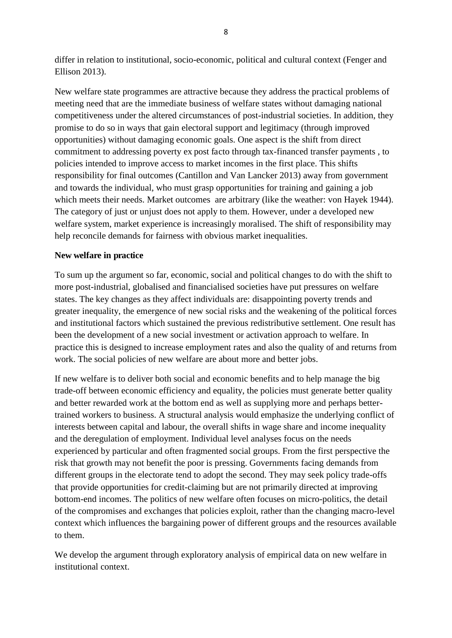differ in relation to institutional, socio-economic, political and cultural context (Fenger and Ellison 2013).

New welfare state programmes are attractive because they address the practical problems of meeting need that are the immediate business of welfare states without damaging national competitiveness under the altered circumstances of post-industrial societies. In addition, they promise to do so in ways that gain electoral support and legitimacy (through improved opportunities) without damaging economic goals. One aspect is the shift from direct commitment to addressing poverty ex post facto through tax-financed transfer payments , to policies intended to improve access to market incomes in the first place. This shifts responsibility for final outcomes (Cantillon and Van Lancker 2013) away from government and towards the individual, who must grasp opportunities for training and gaining a job which meets their needs. Market outcomes are arbitrary (like the weather: von Hayek 1944). The category of just or unjust does not apply to them. However, under a developed new welfare system, market experience is increasingly moralised. The shift of responsibility may help reconcile demands for fairness with obvious market inequalities.

#### **New welfare in practice**

To sum up the argument so far, economic, social and political changes to do with the shift to more post-industrial, globalised and financialised societies have put pressures on welfare states. The key changes as they affect individuals are: disappointing poverty trends and greater inequality, the emergence of new social risks and the weakening of the political forces and institutional factors which sustained the previous redistributive settlement. One result has been the development of a new social investment or activation approach to welfare. In practice this is designed to increase employment rates and also the quality of and returns from work. The social policies of new welfare are about more and better jobs.

If new welfare is to deliver both social and economic benefits and to help manage the big trade-off between economic efficiency and equality, the policies must generate better quality and better rewarded work at the bottom end as well as supplying more and perhaps bettertrained workers to business. A structural analysis would emphasize the underlying conflict of interests between capital and labour, the overall shifts in wage share and income inequality and the deregulation of employment. Individual level analyses focus on the needs experienced by particular and often fragmented social groups. From the first perspective the risk that growth may not benefit the poor is pressing. Governments facing demands from different groups in the electorate tend to adopt the second. They may seek policy trade-offs that provide opportunities for credit-claiming but are not primarily directed at improving bottom-end incomes. The politics of new welfare often focuses on micro-politics, the detail of the compromises and exchanges that policies exploit, rather than the changing macro-level context which influences the bargaining power of different groups and the resources available to them.

We develop the argument through exploratory analysis of empirical data on new welfare in institutional context.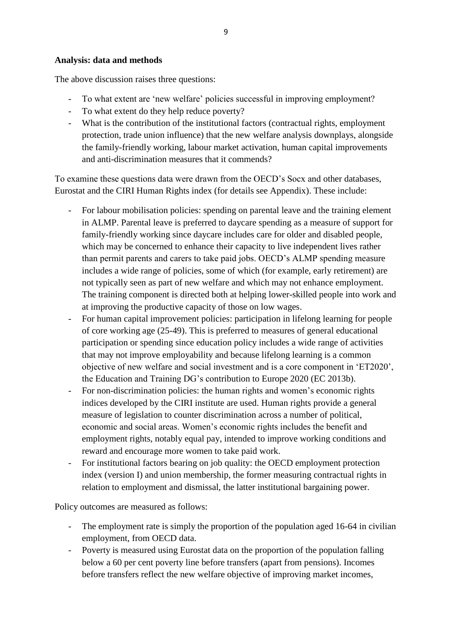#### **Analysis: data and methods**

The above discussion raises three questions:

- To what extent are 'new welfare' policies successful in improving employment?
- To what extent do they help reduce poverty?
- What is the contribution of the institutional factors (contractual rights, employment protection, trade union influence) that the new welfare analysis downplays, alongside the family-friendly working, labour market activation, human capital improvements and anti-discrimination measures that it commends?

To examine these questions data were drawn from the OECD's Socx and other databases, Eurostat and the CIRI Human Rights index (for details see Appendix). These include:

- For labour mobilisation policies: spending on parental leave and the training element in ALMP. Parental leave is preferred to daycare spending as a measure of support for family-friendly working since daycare includes care for older and disabled people, which may be concerned to enhance their capacity to live independent lives rather than permit parents and carers to take paid jobs. OECD's ALMP spending measure includes a wide range of policies, some of which (for example, early retirement) are not typically seen as part of new welfare and which may not enhance employment. The training component is directed both at helping lower-skilled people into work and at improving the productive capacity of those on low wages.
- For human capital improvement policies: participation in lifelong learning for people of core working age (25-49). This is preferred to measures of general educational participation or spending since education policy includes a wide range of activities that may not improve employability and because lifelong learning is a common objective of new welfare and social investment and is a core component in 'ET2020', the Education and Training DG's contribution to Europe 2020 (EC 2013b).
- For non-discrimination policies: the human rights and women's economic rights indices developed by the CIRI institute are used. Human rights provide a general measure of legislation to counter discrimination across a number of political, economic and social areas. Women's economic rights includes the benefit and employment rights, notably equal pay, intended to improve working conditions and reward and encourage more women to take paid work.
- For institutional factors bearing on job quality: the OECD employment protection index (version I) and union membership, the former measuring contractual rights in relation to employment and dismissal, the latter institutional bargaining power.

Policy outcomes are measured as follows:

- The employment rate is simply the proportion of the population aged 16-64 in civilian employment, from OECD data.
- Poverty is measured using Eurostat data on the proportion of the population falling below a 60 per cent poverty line before transfers (apart from pensions). Incomes before transfers reflect the new welfare objective of improving market incomes,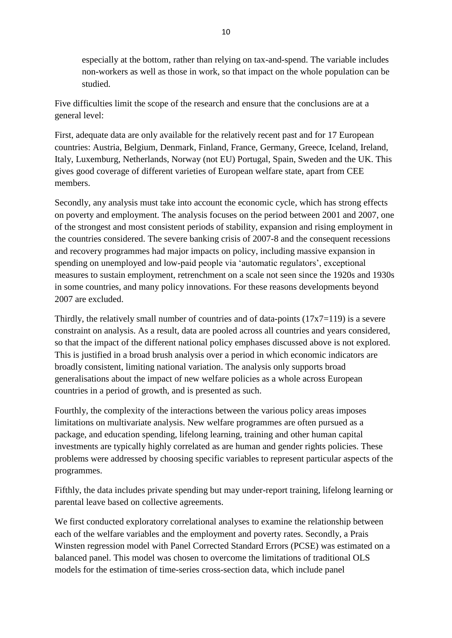especially at the bottom, rather than relying on tax-and-spend. The variable includes non-workers as well as those in work, so that impact on the whole population can be studied.

Five difficulties limit the scope of the research and ensure that the conclusions are at a general level:

First, adequate data are only available for the relatively recent past and for 17 European countries: Austria, Belgium, Denmark, Finland, France, Germany, Greece, Iceland, Ireland, Italy, Luxemburg, Netherlands, Norway (not EU) Portugal, Spain, Sweden and the UK. This gives good coverage of different varieties of European welfare state, apart from CEE members.

Secondly, any analysis must take into account the economic cycle, which has strong effects on poverty and employment. The analysis focuses on the period between 2001 and 2007, one of the strongest and most consistent periods of stability, expansion and rising employment in the countries considered. The severe banking crisis of 2007-8 and the consequent recessions and recovery programmes had major impacts on policy, including massive expansion in spending on unemployed and low-paid people via 'automatic regulators', exceptional measures to sustain employment, retrenchment on a scale not seen since the 1920s and 1930s in some countries, and many policy innovations. For these reasons developments beyond 2007 are excluded.

Thirdly, the relatively small number of countries and of data-points  $(17x7=119)$  is a severe constraint on analysis. As a result, data are pooled across all countries and years considered, so that the impact of the different national policy emphases discussed above is not explored. This is justified in a broad brush analysis over a period in which economic indicators are broadly consistent, limiting national variation. The analysis only supports broad generalisations about the impact of new welfare policies as a whole across European countries in a period of growth, and is presented as such.

Fourthly, the complexity of the interactions between the various policy areas imposes limitations on multivariate analysis. New welfare programmes are often pursued as a package, and education spending, lifelong learning, training and other human capital investments are typically highly correlated as are human and gender rights policies. These problems were addressed by choosing specific variables to represent particular aspects of the programmes.

Fifthly, the data includes private spending but may under-report training, lifelong learning or parental leave based on collective agreements.

We first conducted exploratory correlational analyses to examine the relationship between each of the welfare variables and the employment and poverty rates. Secondly, a Prais Winsten regression model with Panel Corrected Standard Errors (PCSE) was estimated on a balanced panel. This model was chosen to overcome the limitations of traditional OLS models for the estimation of time-series cross-section data, which include panel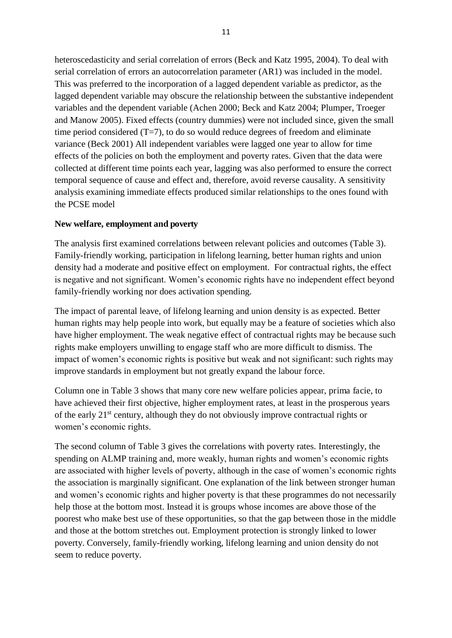heteroscedasticity and serial correlation of errors (Beck and Katz 1995, 2004). To deal with serial correlation of errors an autocorrelation parameter (AR1) was included in the model. This was preferred to the incorporation of a lagged dependent variable as predictor, as the lagged dependent variable may obscure the relationship between the substantive independent variables and the dependent variable (Achen 2000; Beck and Katz 2004; Plumper, Troeger and Manow 2005). Fixed effects (country dummies) were not included since, given the small time period considered  $(T=7)$ , to do so would reduce degrees of freedom and eliminate variance (Beck 2001) All independent variables were lagged one year to allow for time effects of the policies on both the employment and poverty rates. Given that the data were collected at different time points each year, lagging was also performed to ensure the correct temporal sequence of cause and effect and, therefore, avoid reverse causality. A sensitivity analysis examining immediate effects produced similar relationships to the ones found with the PCSE model

#### **New welfare, employment and poverty**

The analysis first examined correlations between relevant policies and outcomes (Table 3). Family-friendly working, participation in lifelong learning, better human rights and union density had a moderate and positive effect on employment. For contractual rights, the effect is negative and not significant. Women's economic rights have no independent effect beyond family-friendly working nor does activation spending.

The impact of parental leave, of lifelong learning and union density is as expected. Better human rights may help people into work, but equally may be a feature of societies which also have higher employment. The weak negative effect of contractual rights may be because such rights make employers unwilling to engage staff who are more difficult to dismiss. The impact of women's economic rights is positive but weak and not significant: such rights may improve standards in employment but not greatly expand the labour force.

Column one in Table 3 shows that many core new welfare policies appear, prima facie, to have achieved their first objective, higher employment rates, at least in the prosperous years of the early 21st century, although they do not obviously improve contractual rights or women's economic rights.

The second column of Table 3 gives the correlations with poverty rates. Interestingly, the spending on ALMP training and, more weakly, human rights and women's economic rights are associated with higher levels of poverty, although in the case of women's economic rights the association is marginally significant. One explanation of the link between stronger human and women's economic rights and higher poverty is that these programmes do not necessarily help those at the bottom most. Instead it is groups whose incomes are above those of the poorest who make best use of these opportunities, so that the gap between those in the middle and those at the bottom stretches out. Employment protection is strongly linked to lower poverty. Conversely, family-friendly working, lifelong learning and union density do not seem to reduce poverty.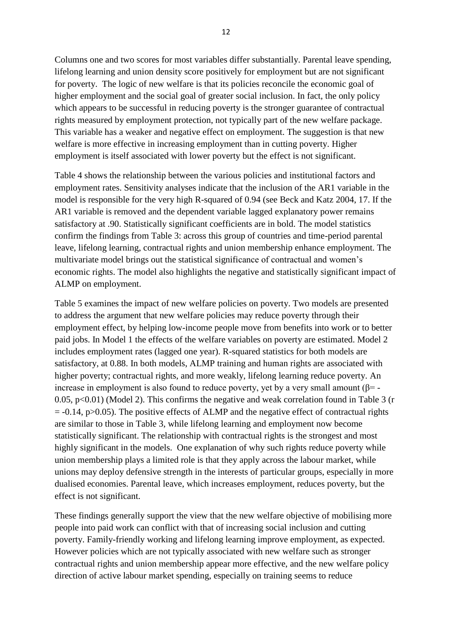Columns one and two scores for most variables differ substantially. Parental leave spending, lifelong learning and union density score positively for employment but are not significant for poverty. The logic of new welfare is that its policies reconcile the economic goal of higher employment and the social goal of greater social inclusion. In fact, the only policy which appears to be successful in reducing poverty is the stronger guarantee of contractual rights measured by employment protection, not typically part of the new welfare package. This variable has a weaker and negative effect on employment. The suggestion is that new welfare is more effective in increasing employment than in cutting poverty. Higher employment is itself associated with lower poverty but the effect is not significant.

Table 4 shows the relationship between the various policies and institutional factors and employment rates. Sensitivity analyses indicate that the inclusion of the AR1 variable in the model is responsible for the very high R-squared of 0.94 (see Beck and Katz 2004, 17. If the AR1 variable is removed and the dependent variable lagged explanatory power remains satisfactory at .90. Statistically significant coefficients are in bold. The model statistics confirm the findings from Table 3: across this group of countries and time-period parental leave, lifelong learning, contractual rights and union membership enhance employment. The multivariate model brings out the statistical significance of contractual and women's economic rights. The model also highlights the negative and statistically significant impact of ALMP on employment.

Table 5 examines the impact of new welfare policies on poverty. Two models are presented to address the argument that new welfare policies may reduce poverty through their employment effect, by helping low-income people move from benefits into work or to better paid jobs. In Model 1 the effects of the welfare variables on poverty are estimated. Model 2 includes employment rates (lagged one year). R-squared statistics for both models are satisfactory, at 0.88. In both models, ALMP training and human rights are associated with higher poverty; contractual rights, and more weakly, lifelong learning reduce poverty. An increase in employment is also found to reduce poverty, yet by a very small amount  $(\beta = -1)$ 0.05,  $p<0.01$ ) (Model 2). This confirms the negative and weak correlation found in Table 3 (r  $= -0.14$ , p $> 0.05$ ). The positive effects of ALMP and the negative effect of contractual rights are similar to those in Table 3, while lifelong learning and employment now become statistically significant. The relationship with contractual rights is the strongest and most highly significant in the models. One explanation of why such rights reduce poverty while union membership plays a limited role is that they apply across the labour market, while unions may deploy defensive strength in the interests of particular groups, especially in more dualised economies. Parental leave, which increases employment, reduces poverty, but the effect is not significant.

These findings generally support the view that the new welfare objective of mobilising more people into paid work can conflict with that of increasing social inclusion and cutting poverty. Family-friendly working and lifelong learning improve employment, as expected. However policies which are not typically associated with new welfare such as stronger contractual rights and union membership appear more effective, and the new welfare policy direction of active labour market spending, especially on training seems to reduce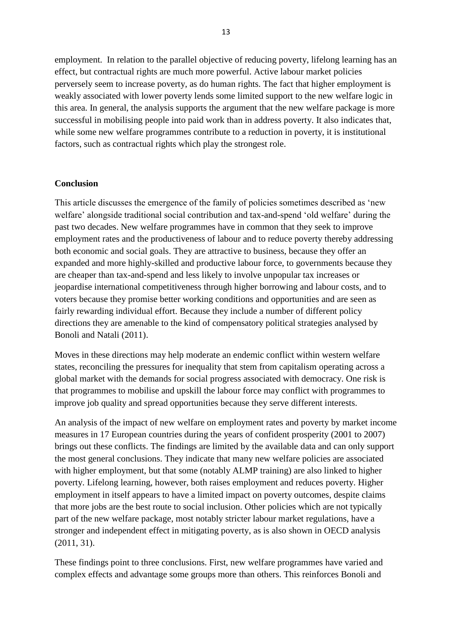employment. In relation to the parallel objective of reducing poverty, lifelong learning has an effect, but contractual rights are much more powerful. Active labour market policies perversely seem to increase poverty, as do human rights. The fact that higher employment is weakly associated with lower poverty lends some limited support to the new welfare logic in this area. In general, the analysis supports the argument that the new welfare package is more successful in mobilising people into paid work than in address poverty. It also indicates that, while some new welfare programmes contribute to a reduction in poverty, it is institutional factors, such as contractual rights which play the strongest role.

#### **Conclusion**

This article discusses the emergence of the family of policies sometimes described as 'new welfare' alongside traditional social contribution and tax-and-spend 'old welfare' during the past two decades. New welfare programmes have in common that they seek to improve employment rates and the productiveness of labour and to reduce poverty thereby addressing both economic and social goals. They are attractive to business, because they offer an expanded and more highly-skilled and productive labour force, to governments because they are cheaper than tax-and-spend and less likely to involve unpopular tax increases or jeopardise international competitiveness through higher borrowing and labour costs, and to voters because they promise better working conditions and opportunities and are seen as fairly rewarding individual effort. Because they include a number of different policy directions they are amenable to the kind of compensatory political strategies analysed by Bonoli and Natali (2011).

Moves in these directions may help moderate an endemic conflict within western welfare states, reconciling the pressures for inequality that stem from capitalism operating across a global market with the demands for social progress associated with democracy. One risk is that programmes to mobilise and upskill the labour force may conflict with programmes to improve job quality and spread opportunities because they serve different interests.

An analysis of the impact of new welfare on employment rates and poverty by market income measures in 17 European countries during the years of confident prosperity (2001 to 2007) brings out these conflicts. The findings are limited by the available data and can only support the most general conclusions. They indicate that many new welfare policies are associated with higher employment, but that some (notably ALMP training) are also linked to higher poverty. Lifelong learning, however, both raises employment and reduces poverty. Higher employment in itself appears to have a limited impact on poverty outcomes, despite claims that more jobs are the best route to social inclusion. Other policies which are not typically part of the new welfare package, most notably stricter labour market regulations, have a stronger and independent effect in mitigating poverty, as is also shown in OECD analysis (2011, 31).

These findings point to three conclusions. First, new welfare programmes have varied and complex effects and advantage some groups more than others. This reinforces Bonoli and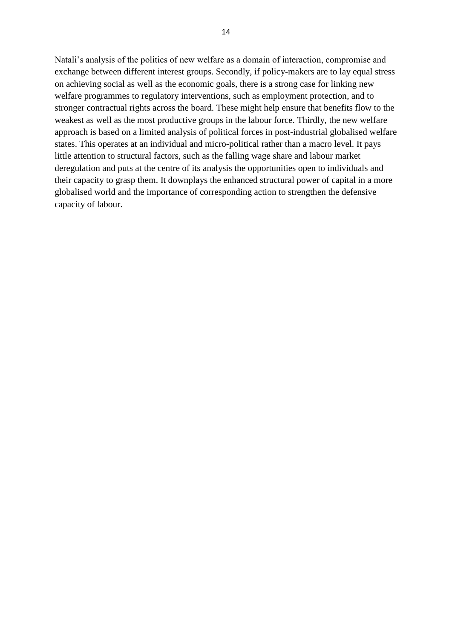Natali's analysis of the politics of new welfare as a domain of interaction, compromise and exchange between different interest groups. Secondly, if policy-makers are to lay equal stress on achieving social as well as the economic goals, there is a strong case for linking new welfare programmes to regulatory interventions, such as employment protection, and to stronger contractual rights across the board. These might help ensure that benefits flow to the weakest as well as the most productive groups in the labour force. Thirdly, the new welfare approach is based on a limited analysis of political forces in post-industrial globalised welfare states. This operates at an individual and micro-political rather than a macro level. It pays little attention to structural factors, such as the falling wage share and labour market deregulation and puts at the centre of its analysis the opportunities open to individuals and their capacity to grasp them. It downplays the enhanced structural power of capital in a more globalised world and the importance of corresponding action to strengthen the defensive capacity of labour.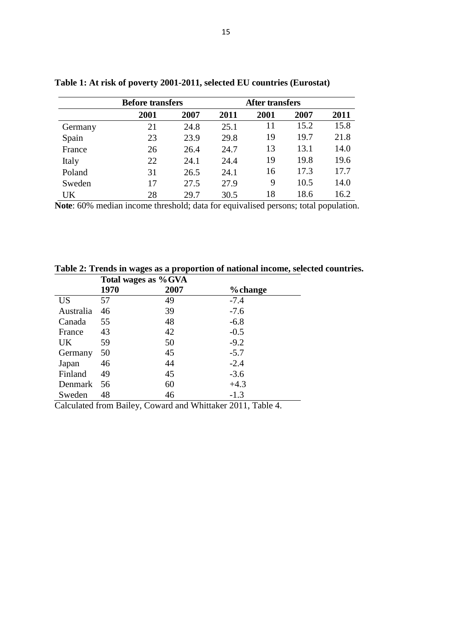|         | <b>Before transfers</b> |      | After transfers |      |      |      |
|---------|-------------------------|------|-----------------|------|------|------|
|         | 2001                    | 2007 | 2011            | 2001 | 2007 | 2011 |
| Germany | 21                      | 24.8 | 25.1            | 11   | 15.2 | 15.8 |
| Spain   | 23                      | 23.9 | 29.8            | 19   | 19.7 | 21.8 |
| France  | 26                      | 26.4 | 24.7            | 13   | 13.1 | 14.0 |
| Italy   | 22                      | 24.1 | 24.4            | 19   | 19.8 | 19.6 |
| Poland  | 31                      | 26.5 | 24.1            | 16   | 17.3 | 17.7 |
| Sweden  | 17                      | 27.5 | 27.9            | 9    | 10.5 | 14.0 |
| UK      | 28                      | 29.7 | 30.5            | 18   | 18.6 | 16.2 |

**Table 1: At risk of poverty 2001-2011, selected EU countries (Eurostat)**

**Note**: 60% median income threshold; data for equivalised persons; total population.

**Table 2: Trends in wages as a proportion of national income, selected countries.** 

|           | Total wages as % GVA |                                                     |                 |  |
|-----------|----------------------|-----------------------------------------------------|-----------------|--|
|           | 1970                 | 2007                                                | % change        |  |
| <b>US</b> | 57                   | 49                                                  | $-7.4$          |  |
| Australia | 46                   | 39                                                  | $-7.6$          |  |
| Canada    | 55                   | 48                                                  | $-6.8$          |  |
| France    | 43                   | 42                                                  | $-0.5$          |  |
| <b>UK</b> | 59                   | 50                                                  | $-9.2$          |  |
| Germany   | 50                   | 45                                                  | $-5.7$          |  |
| Japan     | 46                   | 44                                                  | $-2.4$          |  |
| Finland   | 49                   | 45                                                  | $-3.6$          |  |
| Denmark   | 56                   | 60                                                  | $+4.3$          |  |
| Sweden    | 48                   | 46                                                  | $-1.3$          |  |
|           |                      | Coloulated from Deiley, Coused and Whitteberry 2011 | $T_0L_1 \sim 1$ |  |

Calculated from Bailey, Coward and Whittaker 2011, Table 4.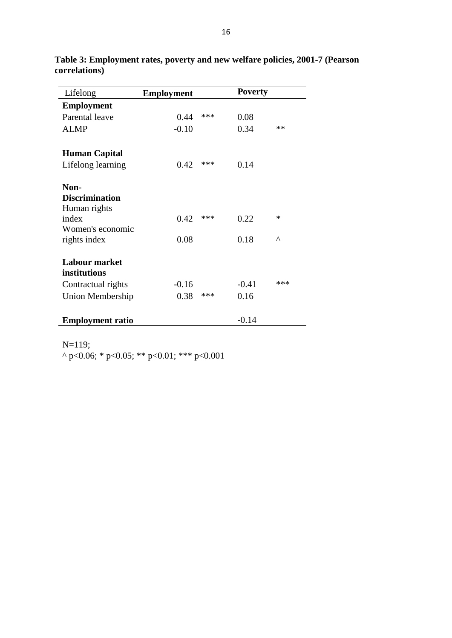| Lifelong                              | <b>Employment</b> |     | <b>Poverty</b> |          |
|---------------------------------------|-------------------|-----|----------------|----------|
| <b>Employment</b>                     |                   |     |                |          |
| Parental leave                        | 0.44              | *** | 0.08           |          |
| <b>ALMP</b>                           | $-0.10$           |     | 0.34           | $**$     |
| <b>Human Capital</b>                  |                   |     |                |          |
| Lifelong learning                     | 0.42              | *** | 0.14           |          |
| Non-                                  |                   |     |                |          |
| <b>Discrimination</b><br>Human rights |                   |     |                |          |
| index                                 | 0.42              | *** | 0.22           | $\ast$   |
| Women's economic                      |                   |     |                |          |
| rights index                          | 0.08              |     | 0.18           | $\wedge$ |
| <b>Labour market</b><br>institutions  |                   |     |                |          |
| Contractual rights                    | $-0.16$           |     | $-0.41$        | ***      |
| Union Membership                      | 0.38              | *** | 0.16           |          |
| <b>Employment ratio</b>               |                   |     | $-0.14$        |          |

**Table 3: Employment rates, poverty and new welfare policies, 2001-7 (Pearson correlations)** 

N=119;

^ p<0.06; \* p<0.05; \*\* p<0.01; \*\*\* p<0.001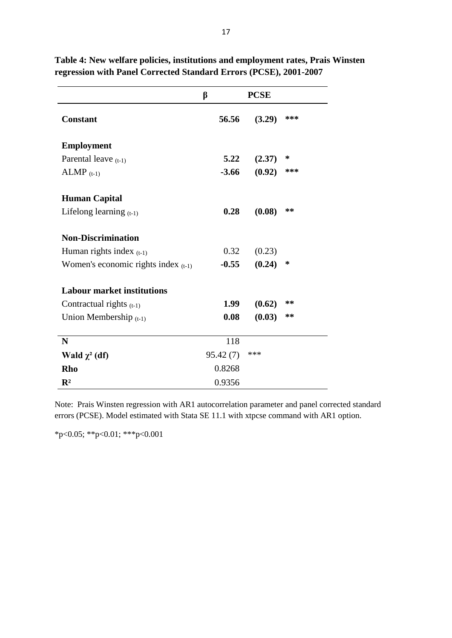|                                       | β        | <b>PCSE</b> |     |
|---------------------------------------|----------|-------------|-----|
| <b>Constant</b>                       | 56.56    | (3.29)      | *** |
| <b>Employment</b>                     |          |             |     |
| Parental leave $(t-1)$                | 5.22     | (2.37)      | ∗   |
| $ALMP$ (t-1)                          | $-3.66$  | (0.92)      | *** |
| <b>Human Capital</b>                  |          |             |     |
| Lifelong learning $(t-1)$             | 0.28     | (0.08)      | **  |
| <b>Non-Discrimination</b>             |          |             |     |
| Human rights index $(t-1)$            | 0.32     | (0.23)      |     |
| Women's economic rights index $(t-1)$ | $-0.55$  | (0.24)      | ∗   |
| <b>Labour market institutions</b>     |          |             |     |
| Contractual rights $(t-1)$            | 1.99     | (0.62)      | **  |
| Union Membership $(t-1)$              | 0.08     | (0.03)      | **  |
| N                                     | 118      |             |     |
| Wald $\chi^2$ (df)                    | 95.42(7) | ***         |     |
| Rho                                   | 0.8268   |             |     |
| $\mathbf{R}^2$                        | 0.9356   |             |     |

**Table 4: New welfare policies, institutions and employment rates, Prais Winsten regression with Panel Corrected Standard Errors (PCSE), 2001-2007** 

Note: Prais Winsten regression with AR1 autocorrelation parameter and panel corrected standard errors (PCSE). Model estimated with Stata SE 11.1 with xtpcse command with AR1 option.

\*p<0.05; \*\*p<0.01; \*\*\*p<0.001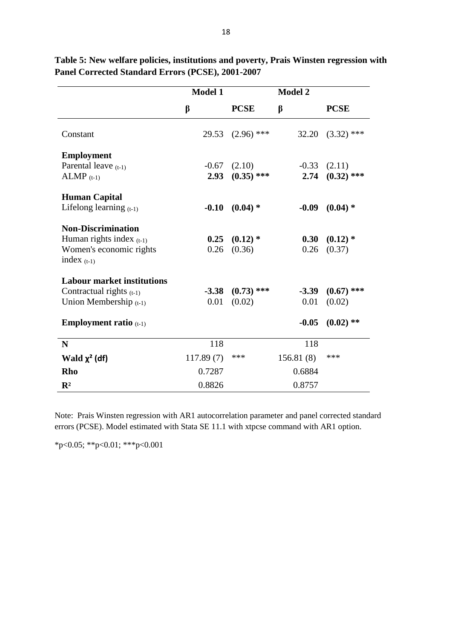|                                   | <b>Model 1</b> | <b>Model 2</b> |           |              |
|-----------------------------------|----------------|----------------|-----------|--------------|
|                                   | β              | <b>PCSE</b>    | β         | <b>PCSE</b>  |
| Constant                          | 29.53          | $(2.96)$ ***   | 32.20     | $(3.32)$ *** |
| <b>Employment</b>                 |                |                |           |              |
| Parental leave $(t-1)$            | $-0.67$        | (2.10)         | $-0.33$   | (2.11)       |
| $ALMP$ (t-1)                      | 2.93           | $(0.35)$ ***   | 2.74      | $(0.32)$ *** |
| <b>Human Capital</b>              |                |                |           |              |
| Lifelong learning $(t-1)$         | $-0.10$        | $(0.04)$ *     | $-0.09$   | $(0.04)$ *   |
| <b>Non-Discrimination</b>         |                |                |           |              |
| Human rights index $(t-1)$        | 0.25           | $(0.12)$ *     | 0.30      | $(0.12)$ *   |
| Women's economic rights           | 0.26           | (0.36)         | 0.26      | (0.37)       |
| index $(t-1)$                     |                |                |           |              |
| <b>Labour market institutions</b> |                |                |           |              |
| Contractual rights $(t-1)$        | $-3.38$        | $(0.73)$ ***   | $-3.39$   | $(0.67)$ *** |
| Union Membership $(t-1)$          | 0.01           | (0.02)         | 0.01      | (0.02)       |
| <b>Employment ratio</b> $(t-1)$   |                |                | $-0.05$   | $(0.02)$ **  |
| N                                 | 118            |                | 118       |              |
| Wald $\chi^2$ (df)                | 117.89(7)      | ***            | 156.81(8) | ***          |
| Rho                               | 0.7287         |                | 0.6884    |              |
| $\mathbf{R}^2$                    | 0.8826         |                | 0.8757    |              |

**Table 5: New welfare policies, institutions and poverty, Prais Winsten regression with Panel Corrected Standard Errors (PCSE), 2001-2007** 

Note: Prais Winsten regression with AR1 autocorrelation parameter and panel corrected standard errors (PCSE). Model estimated with Stata SE 11.1 with xtpcse command with AR1 option.

\*p<0.05; \*\*p<0.01; \*\*\*p<0.001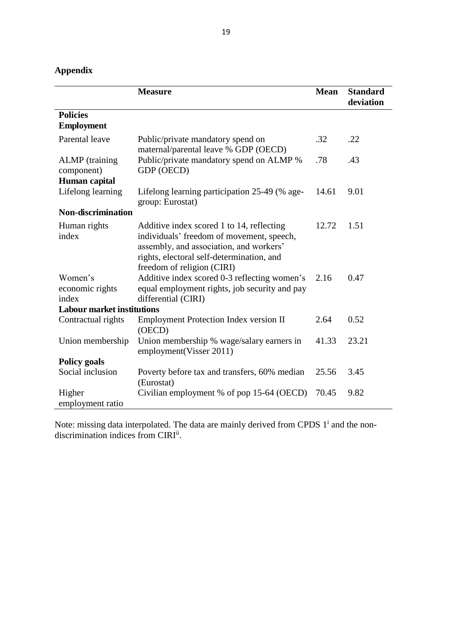| Appendix |  |  |
|----------|--|--|
|          |  |  |

|                                      | <b>Measure</b>                                                                                                                                                                                               | <b>Mean</b> | <b>Standard</b><br>deviation |
|--------------------------------------|--------------------------------------------------------------------------------------------------------------------------------------------------------------------------------------------------------------|-------------|------------------------------|
| <b>Policies</b><br><b>Employment</b> |                                                                                                                                                                                                              |             |                              |
| Parental leave                       | Public/private mandatory spend on<br>maternal/parental leave % GDP (OECD)                                                                                                                                    | .32         | .22                          |
| <b>ALMP</b> (training<br>component)  | Public/private mandatory spend on ALMP %<br>GDP (OECD)                                                                                                                                                       | .78         | .43                          |
| Human capital<br>Lifelong learning   | Lifelong learning participation 25-49 (% age-<br>group: Eurostat)                                                                                                                                            | 14.61       | 9.01                         |
| <b>Non-discrimination</b>            |                                                                                                                                                                                                              |             |                              |
| Human rights<br>index                | Additive index scored 1 to 14, reflecting<br>individuals' freedom of movement, speech,<br>assembly, and association, and workers'<br>rights, electoral self-determination, and<br>freedom of religion (CIRI) | 12.72       | 1.51                         |
| Women's<br>economic rights<br>index  | Additive index scored 0-3 reflecting women's<br>equal employment rights, job security and pay<br>differential (CIRI)                                                                                         | 2.16        | 0.47                         |
| <b>Labour market institutions</b>    |                                                                                                                                                                                                              |             |                              |
| Contractual rights                   | <b>Employment Protection Index version II</b><br>(OECD)                                                                                                                                                      | 2.64        | 0.52                         |
| Union membership                     | Union membership % wage/salary earners in<br>employment(Visser 2011)                                                                                                                                         | 41.33       | 23.21                        |
| <b>Policy goals</b>                  |                                                                                                                                                                                                              |             |                              |
| Social inclusion                     | Poverty before tax and transfers, 60% median<br>(Eurostat)                                                                                                                                                   | 25.56       | 3.45                         |
| Higher<br>employment ratio           | Civilian employment % of pop 15-64 (OECD)                                                                                                                                                                    | 70.45       | 9.82                         |

Note: missing data interpolated. The data are mainly derived from CPDS  $1^i$  and the nondiscrimination indices from CIRI<sup>ii</sup>.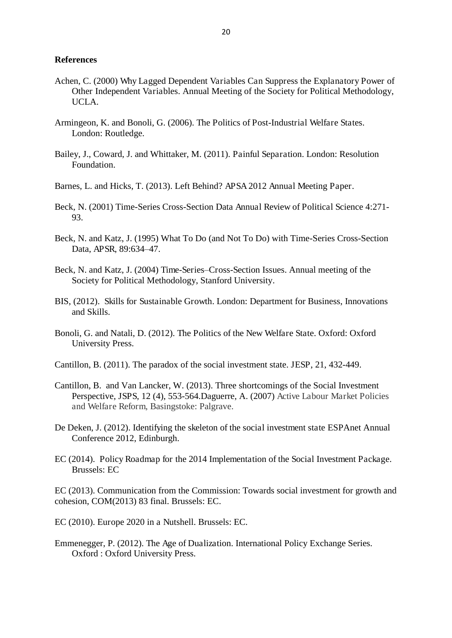#### **References**

- Achen, C. (2000) Why Lagged Dependent Variables Can Suppress the Explanatory Power of Other Independent Variables. Annual Meeting of the Society for Political Methodology, UCLA.
- Armingeon, K. and Bonoli, G. (2006). The Politics of Post-Industrial Welfare States. London: Routledge.
- Bailey, J., Coward, J. and Whittaker, M. (2011). Painful Separation. London: Resolution Foundation.
- Barnes, L. and Hicks, T. (2013). Left Behind? APSA 2012 Annual Meeting Paper.
- Beck, N. (2001) Time-Series Cross-Section Data Annual Review of Political Science 4:271- 93.
- Beck, N. and Katz, J. (1995) What To Do (and Not To Do) with Time-Series Cross-Section Data, APSR, 89:634–47.
- Beck, N. and Katz, J. (2004) Time-Series*–*Cross-Section Issues. Annual meeting of the Society for Political Methodology, Stanford University.
- BIS, (2012). Skills for Sustainable Growth. London: Department for Business, Innovations and Skills.
- Bonoli, G. and Natali, D. (2012). The Politics of the New Welfare State. Oxford: Oxford University Press.
- Cantillon, B. (2011). The paradox of the social investment state. JESP, 21, 432-449.
- Cantillon, B. and Van Lancker, W. (2013). Three shortcomings of the Social Investment Perspective, JSPS, 12 (4), 553-564.Daguerre, A. (2007) Active Labour Market Policies and Welfare Reform, Basingstoke: Palgrave.
- De Deken, J. (2012). Identifying the skeleton of the social investment state ESPAnet Annual Conference 2012, Edinburgh.
- EC (2014). Policy Roadmap for the 2014 Implementation of the Social Investment Package. Brussels: EC

EC (2013). Communication from the Commission: Towards social investment for growth and cohesion, COM(2013) 83 final. Brussels: EC.

- EC (2010). Europe 2020 in a Nutshell. Brussels: EC.
- Emmenegger, P. (2012). The Age of Dualization. International Policy Exchange Series. Oxford : Oxford University Press.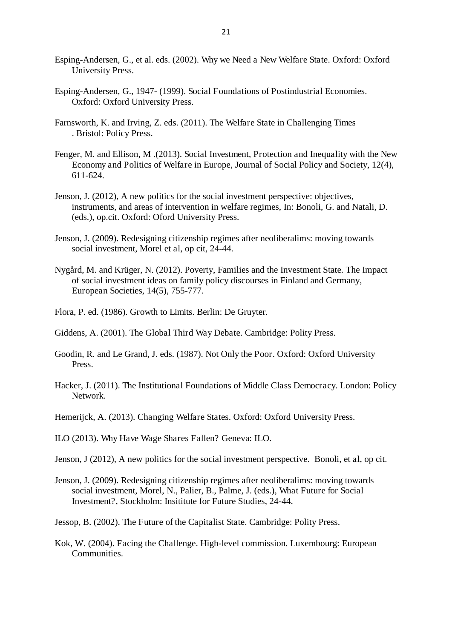- Esping-Andersen, G., et al. eds. (2002). Why we Need a New Welfare State. Oxford: Oxford University Press.
- Esping-Andersen, G., 1947- (1999). Social Foundations of Postindustrial Economies. Oxford: Oxford University Press.
- Farnsworth, K. and Irving, Z. eds. (2011). The Welfare State in Challenging Times . Bristol: Policy Press.
- Fenger, M. and Ellison, M .(2013). Social Investment, Protection and Inequality with the New Economy and Politics of Welfare in Europe, Journal of Social Policy and Society, 12(4), 611-624.
- Jenson, J. (2012), A new politics for the social investment perspective: objectives, instruments, and areas of intervention in welfare regimes, In: Bonoli, G. and Natali, D. (eds.), op.cit. Oxford: Oford University Press.
- Jenson, J. (2009). Redesigning citizenship regimes after neoliberalims: moving towards social investment, Morel et al, op cit, 24-44.
- Nygård, M. and Krüger, N. (2012). Poverty, Families and the Investment State. The Impact of social investment ideas on family policy discourses in Finland and Germany, European Societies, 14(5), 755-777.
- Flora, P. ed. (1986). Growth to Limits. Berlin: De Gruyter.
- Giddens, A. (2001). The Global Third Way Debate. Cambridge: Polity Press.
- Goodin, R. and Le Grand, J. eds. (1987). Not Only the Poor. Oxford: Oxford University Press.
- Hacker, J. (2011). The Institutional Foundations of Middle Class Democracy. London: Policy Network.
- Hemerijck, A. (2013). Changing Welfare States. Oxford: Oxford University Press.
- ILO (2013). Why Have Wage Shares Fallen? Geneva: ILO.
- Jenson, J (2012), A new politics for the social investment perspective. Bonoli, et al, op cit.
- Jenson, J. (2009). Redesigning citizenship regimes after neoliberalims: moving towards social investment, Morel, N., Palier, B., Palme, J. (eds.), What Future for Social Investment?, Stockholm: Insititute for Future Studies, 24-44.
- Jessop, B. (2002). The Future of the Capitalist State. Cambridge: Polity Press.
- Kok, W. (2004). Facing the Challenge. High-level commission. Luxembourg: European **Communities**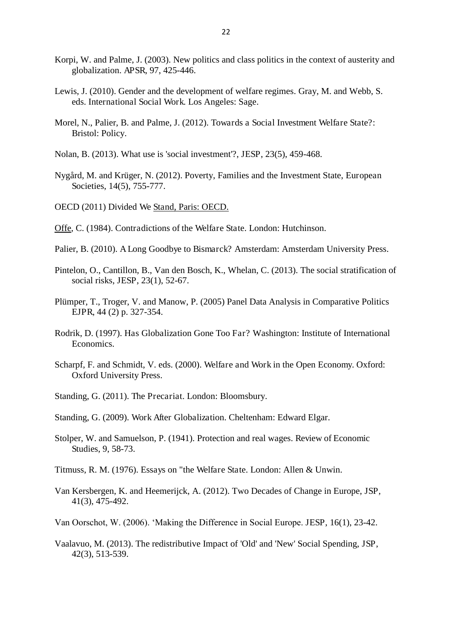- Korpi, W. and Palme, J. (2003). New politics and class politics in the context of austerity and globalization. APSR, 97, 425-446.
- Lewis, J. (2010). Gender and the development of welfare regimes. Gray, M. and Webb, S. eds. International Social Work. Los Angeles: Sage.
- Morel, N., Palier, B. and Palme, J. (2012). Towards a Social Investment Welfare State?: Bristol: Policy.
- Nolan, B. (2013). What use is 'social investment'?, JESP, 23(5), 459-468.
- Nygård, M. and Krüger, N. (2012). Poverty, Families and the Investment State, European Societies, 14(5), 755-777.
- OECD (2011) Divided We Stand, Paris: OECD.
- Offe, C. (1984). Contradictions of the Welfare State. London: Hutchinson.
- Palier, B. (2010). A Long Goodbye to Bismarck? Amsterdam: Amsterdam University Press.
- Pintelon, O., Cantillon, B., Van den Bosch, K., Whelan, C. (2013). The social stratification of social risks, JESP, 23(1), 52-67.
- Plümper, T., Troger, V. and Manow, P. (2005) Panel Data Analysis in Comparative Politics EJPR, 44 (2) p. 327-354.
- Rodrik, D. (1997). Has Globalization Gone Too Far? Washington: Institute of International Economics.
- Scharpf, F. and Schmidt, V. eds. (2000). Welfare and Work in the Open Economy. Oxford: Oxford University Press.
- Standing, G. (2011). The Precariat. London: Bloomsbury.
- Standing, G. (2009). Work After Globalization. Cheltenham: Edward Elgar.
- Stolper, W. and Samuelson, P. (1941). Protection and real wages. Review of Economic Studies, 9, 58-73.
- Titmuss, R. M. (1976). Essays on "the Welfare State. London: Allen & Unwin.
- Van Kersbergen, K. and Heemerijck, A. (2012). Two Decades of Change in Europe, JSP, 41(3), 475-492.
- Van Oorschot, W. (2006). 'Making the Difference in Social Europe. JESP, 16(1), 23-42.
- Vaalavuo, M. (2013). The redistributive Impact of 'Old' and 'New' Social Spending, JSP, 42(3), 513-539.